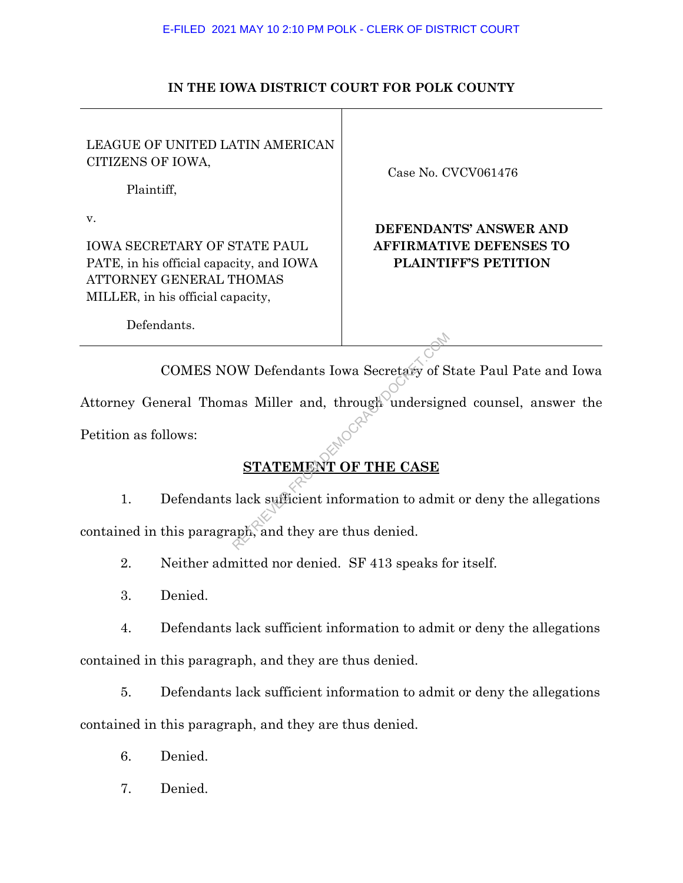### **IN THE IOWA DISTRICT COURT FOR POLK COUNTY**

LEAGUE OF UNITED LATIN AMERICAN CITIZENS OF IOWA,

Plaintiff,

Defendants.

v.

IOWA SECRETARY OF STATE PAUL PATE, in his official capacity, and IOWA ATTORNEY GENERAL THOMAS MILLER, in his official capacity,

Case No. CVCV061476

# **DEFENDANTS' ANSWER AND AFFIRMATIVE DEFENSES TO PLAINTIFF'S PETITION**

 COMES NOW Defendants Iowa Secretary of State Paul Pate and Iowa Attorney General Thomas Miller and, through undersigned counsel, answer the NETRIEVED STATEMENT OF THE CASE<br>
Lack sufficient information to admi<br>
aph, and they are thus denied.

Petition as follows:

# **STATEMENT OF THE CASE**

1. Defendants lack sufficient information to admit or deny the allegations contained in this paragraph, and they are thus denied.

2. Neither admitted nor denied. SF 413 speaks for itself.

3. Denied.

4. Defendants lack sufficient information to admit or deny the allegations contained in this paragraph, and they are thus denied.

5. Defendants lack sufficient information to admit or deny the allegations contained in this paragraph, and they are thus denied.

- 6. Denied.
- 7. Denied.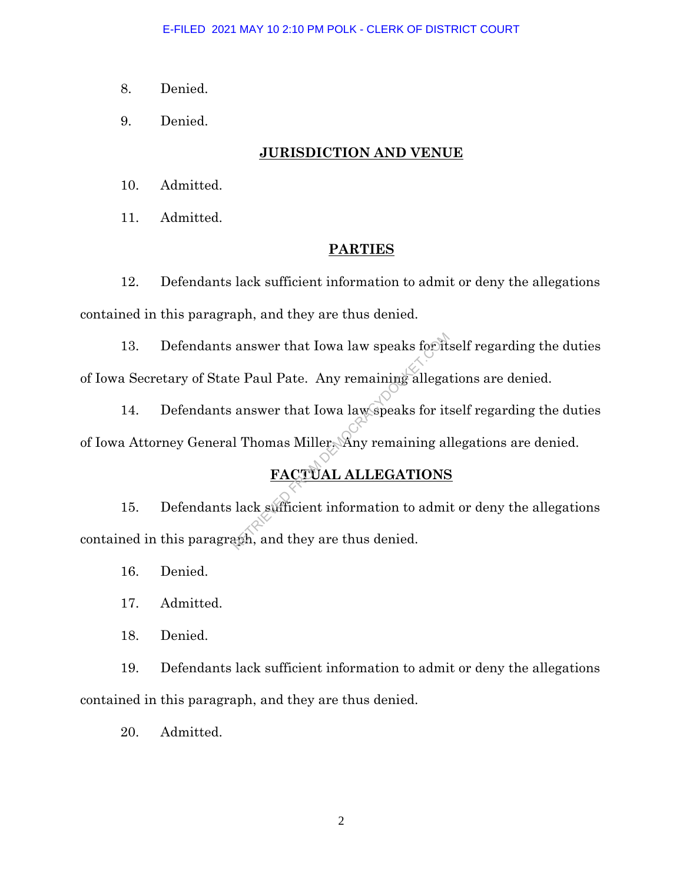- 8. Denied.
- 9. Denied.

### **JURISDICTION AND VENUE**

- 10. Admitted.
- 11. Admitted.

### **PARTIES**

12. Defendants lack sufficient information to admit or deny the allegations contained in this paragraph, and they are thus denied.

13. Defendants answer that Iowa law speaks for itself regarding the duties of Iowa Secretary of State Paul Pate. Any remaining allegations are denied. answer that Iowa law speaks for it<br>
e Paul Pate. Any remaining allega<br>
answer that Iowa law speaks for it<br>
l Thomas Miller. Any remaining al<br> **FACTUAL ALLEGATIONS**<br>
lack sufficient information to admi<br>
aph, and they are th

14. Defendants answer that Iowa law speaks for itself regarding the duties of Iowa Attorney General Thomas Miller. Any remaining allegations are denied.

# **FACTUAL ALLEGATIONS**

15. Defendants lack sufficient information to admit or deny the allegations contained in this paragraph, and they are thus denied.

- 16. Denied.
- 17. Admitted.
- 18. Denied.

19. Defendants lack sufficient information to admit or deny the allegations contained in this paragraph, and they are thus denied.

20. Admitted.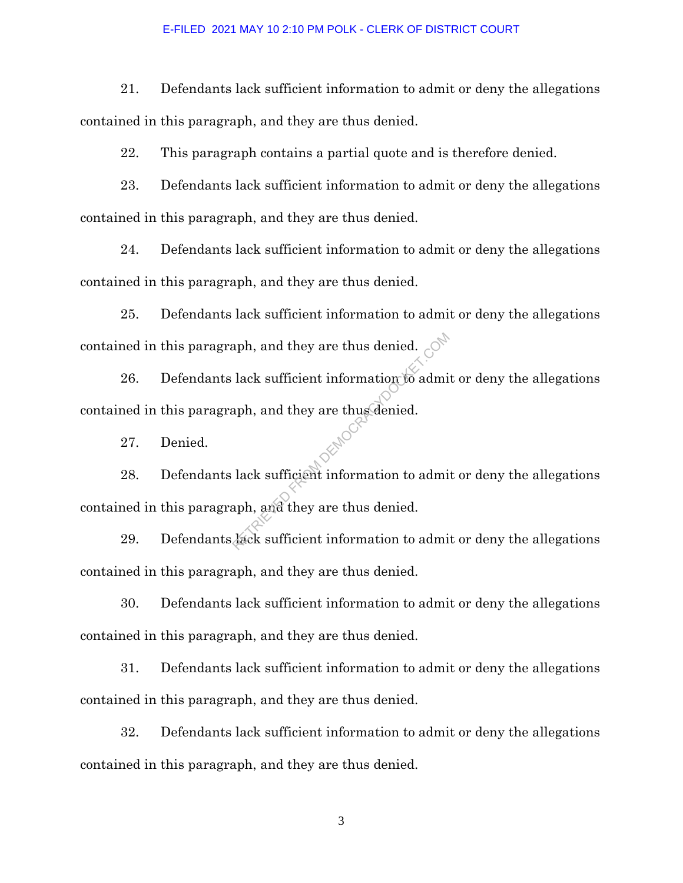#### E-FILED 2021 MAY 10 2:10 PM POLK - CLERK OF DISTRICT COURT

21. Defendants lack sufficient information to admit or deny the allegations contained in this paragraph, and they are thus denied.

22. This paragraph contains a partial quote and is therefore denied.

23. Defendants lack sufficient information to admit or deny the allegations contained in this paragraph, and they are thus denied.

24. Defendants lack sufficient information to admit or deny the allegations contained in this paragraph, and they are thus denied.

25. Defendants lack sufficient information to admit or deny the allegations contained in this paragraph, and they are thus denied.

26. Defendants lack sufficient information to admit or deny the allegations contained in this paragraph, and they are thus denied. Republicant and they are thus denied.<br>
Reading the adminstration of a dminimagh, and they are thus denied.<br>
Reading the sufficient information to adminimagh, and they are thus denied.

27. Denied.

28. Defendants lack sufficient information to admit or deny the allegations contained in this paragraph, and they are thus denied.

29. Defendants lack sufficient information to admit or deny the allegations contained in this paragraph, and they are thus denied.

30. Defendants lack sufficient information to admit or deny the allegations contained in this paragraph, and they are thus denied.

31. Defendants lack sufficient information to admit or deny the allegations contained in this paragraph, and they are thus denied.

32. Defendants lack sufficient information to admit or deny the allegations contained in this paragraph, and they are thus denied.

3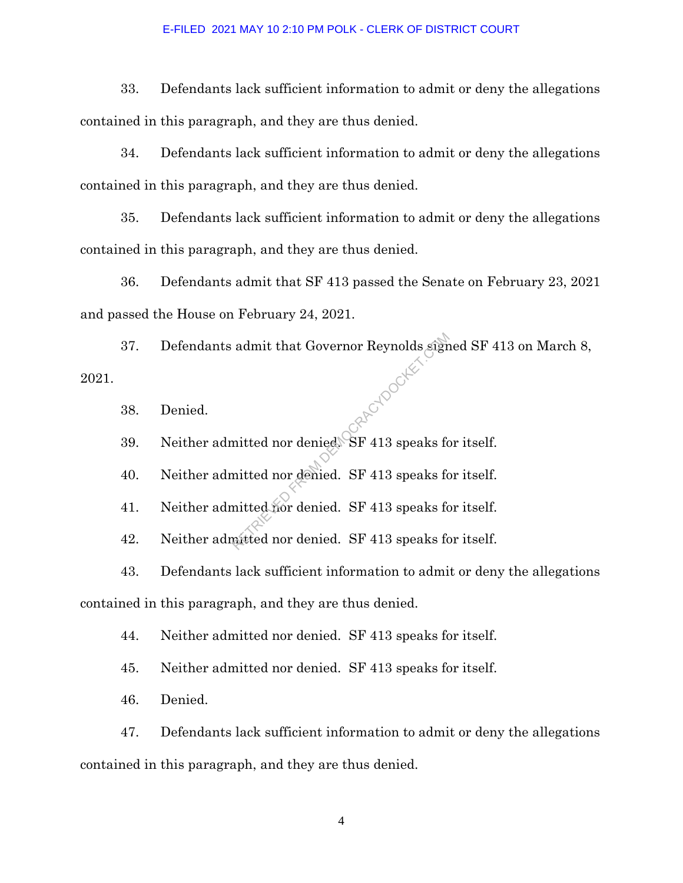#### E-FILED 2021 MAY 10 2:10 PM POLK - CLERK OF DISTRICT COURT

33. Defendants lack sufficient information to admit or deny the allegations contained in this paragraph, and they are thus denied.

34. Defendants lack sufficient information to admit or deny the allegations contained in this paragraph, and they are thus denied.

35. Defendants lack sufficient information to admit or deny the allegations contained in this paragraph, and they are thus denied.

36. Defendants admit that SF 413 passed the Senate on February 23, 2021 and passed the House on February 24, 2021.

37. Defendants admit that Governor Reynolds signed SF 413 on March 8, 2021. Reported FROM

38. Denied.

39. Neither admitted nor denied. SF 413 speaks for itself.

40. Neither admitted nor denied. SF 413 speaks for itself.

41. Neither admitted nor denied. SF 413 speaks for itself.

42. Neither admitted nor denied. SF 413 speaks for itself.

43. Defendants lack sufficient information to admit or deny the allegations contained in this paragraph, and they are thus denied.

44. Neither admitted nor denied. SF 413 speaks for itself.

45. Neither admitted nor denied. SF 413 speaks for itself.

46. Denied.

47. Defendants lack sufficient information to admit or deny the allegations contained in this paragraph, and they are thus denied.

4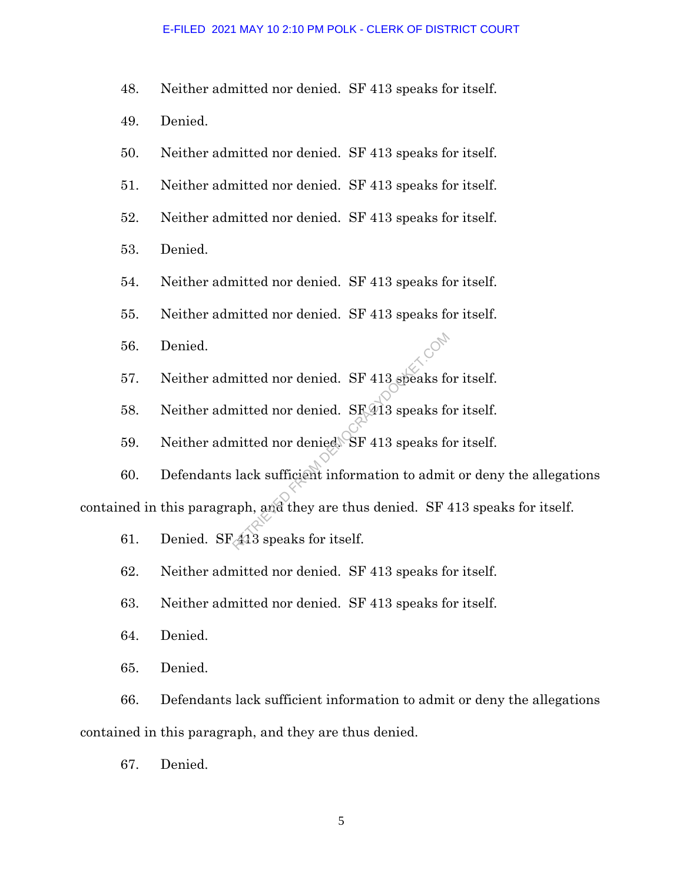#### E-FILED 2021 MAY 10 2:10 PM POLK - CLERK OF DISTRICT COURT

- 48. Neither admitted nor denied. SF 413 speaks for itself.
- 49. Denied.
- 50. Neither admitted nor denied. SF 413 speaks for itself.
- 51. Neither admitted nor denied. SF 413 speaks for itself.
- 52. Neither admitted nor denied. SF 413 speaks for itself.
- 53. Denied.
- 54. Neither admitted nor denied. SF 413 speaks for itself.
- 55. Neither admitted nor denied. SF 413 speaks for itself.
- 56. Denied.
- 57. Neither admitted nor denied. SF 413 speaks for itself.
- 58. Neither admitted nor denied. SF 413 speaks for itself.
- 59. Neither admitted nor denied. SF 413 speaks for itself.

60. Defendants lack sufficient information to admit or deny the allegations contained in this paragraph, and they are thus denied. SF 413 speaks for itself. mitted nor denied. SF 413 speaks formitted nor denied. SF 413 speaks formitted nor denied. SF 413 speaks for lack sufficient information to administer. The speaks for itself.

- 61. Denied. SFA13 speaks for itself.
- 62. Neither admitted nor denied. SF 413 speaks for itself.
- 63. Neither admitted nor denied. SF 413 speaks for itself.
- 64. Denied.
- 65. Denied.

66. Defendants lack sufficient information to admit or deny the allegations contained in this paragraph, and they are thus denied.

67. Denied.

5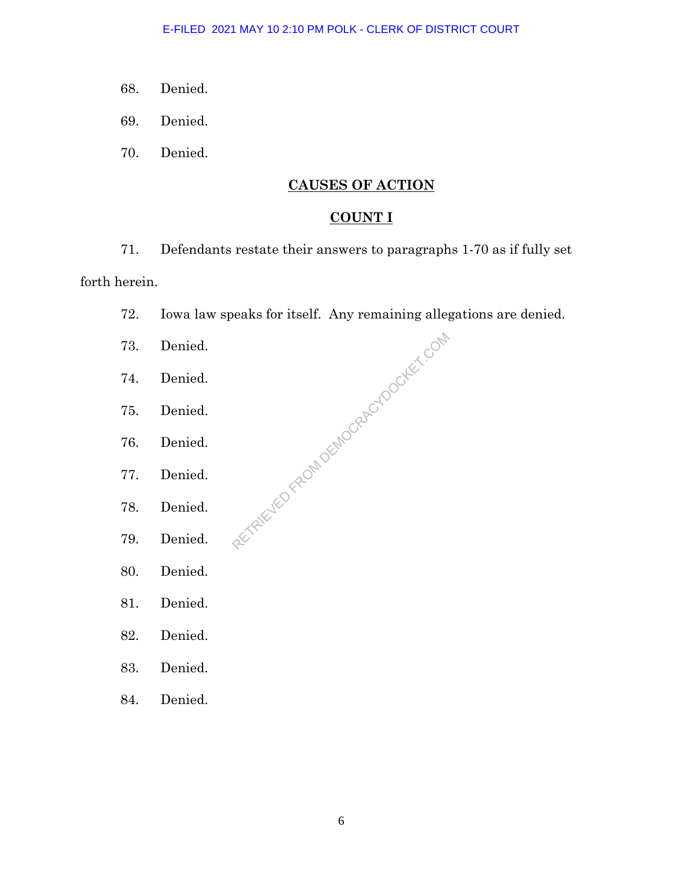- 68. Denied.
- 69. Denied.
- 70. Denied.

## **CAUSES OF ACTION**

## **COUNT I**

71. Defendants restate their answers to paragraphs 1-70 as if fully set

## forth herein.

- 72. Iowa law speaks for itself. Any remaining allegations are denied. alle alle the production of the tool text. Only
- 73. Denied.
- 74. Denied.
- 75. Denied.
- 76. Denied.
- 77. Denied.
- 78. Denied.
- 79. Denied.
- 80. Denied.
- 81. Denied.
- 82. Denied.
- 83. Denied.
- 84. Denied.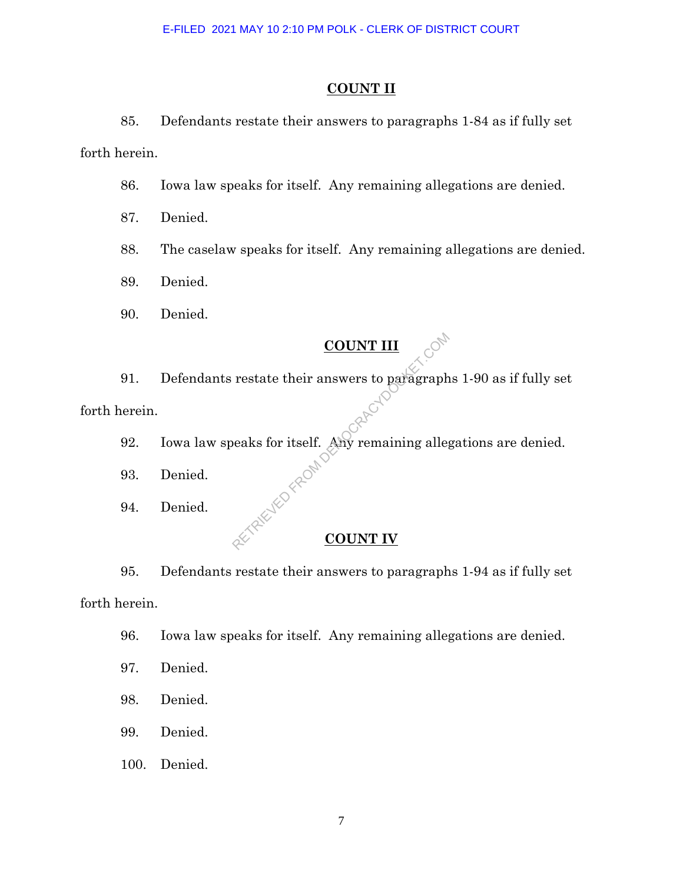#### **COUNT II**

85. Defendants restate their answers to paragraphs 1-84 as if fully set forth herein.

- 86. Iowa law speaks for itself. Any remaining allegations are denied.
- 87. Denied.
- 88. The caselaw speaks for itself. Any remaining allegations are denied.

89. Denied.

90. Denied.

# **COUNT III**

91. Defendants restate their answers to paragraphs 1-90 as if fully set forth herein. COUNT III<br>
restate their answers to paragraph<br>
beaks for itself. Any remaining alleady<br>
count IV

- 92. Iowa law speaks for itself. Any remaining allegations are denied.
- 93. Denied.
- 94. Denied.

### **COUNT IV**

95. Defendants restate their answers to paragraphs 1-94 as if fully set forth herein.

- 96. Iowa law speaks for itself. Any remaining allegations are denied.
- 97. Denied.
- 98. Denied.
- 99. Denied.
- 100. Denied.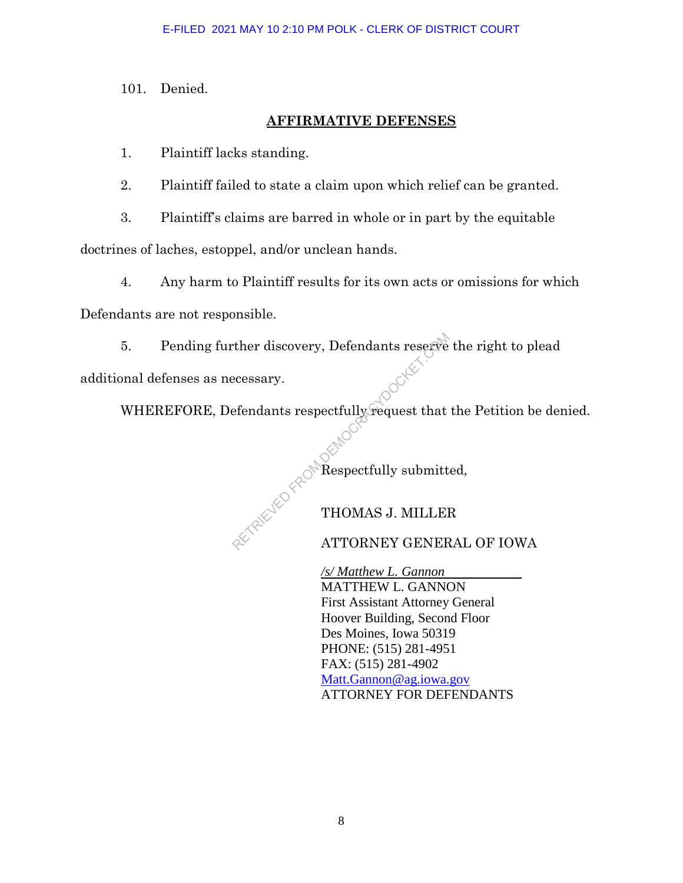101. Denied.

## **AFFIRMATIVE DEFENSES**

1. Plaintiff lacks standing.

2. Plaintiff failed to state a claim upon which relief can be granted.

3. Plaintiff's claims are barred in whole or in part by the equitable

doctrines of laches, estoppel, and/or unclean hands.

4. Any harm to Plaintiff results for its own acts or omissions for which

Defendants are not responsible.

5. Pending further discovery, Defendants reserve the right to plead Experiences<br>
Referred and a respectfully request that<br>
Respectfully submitt<br>
THOMAS J. MILLER<br>
ATTORNEY GENER

additional defenses as necessary.

WHEREFORE, Defendants respectfully request that the Petition be denied.

Respectfully submitted,

THOMAS J. MILLER

ATTORNEY GENERAL OF IOWA

*/s/ Matthew L. Gannon*  MATTHEW L. GANNON First Assistant Attorney General Hoover Building, Second Floor Des Moines, Iowa 50319 PHONE: (515) 281-4951 FAX: (515) 281-4902 Matt.Gannon@ag.iowa.gov ATTORNEY FOR DEFENDANTS